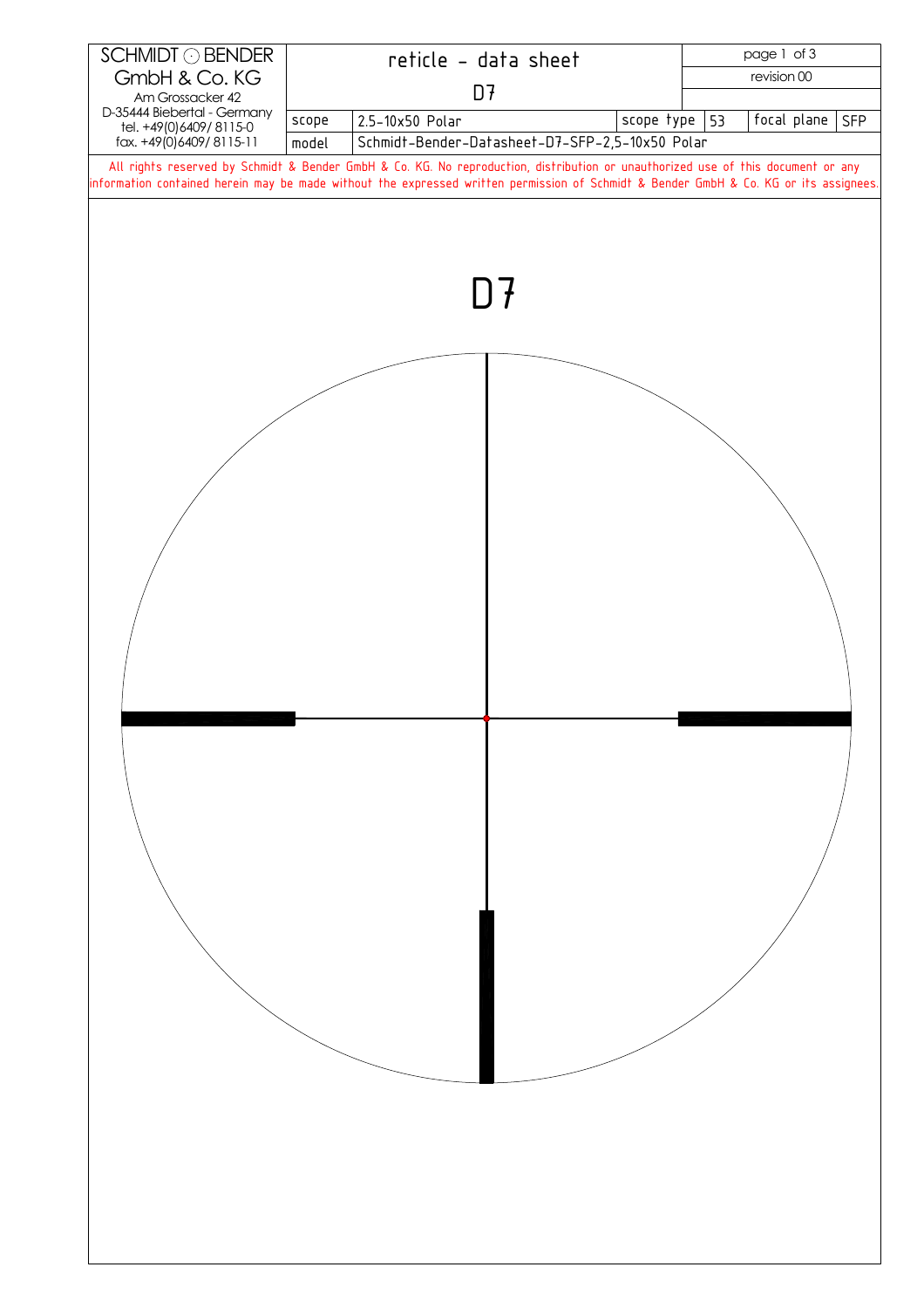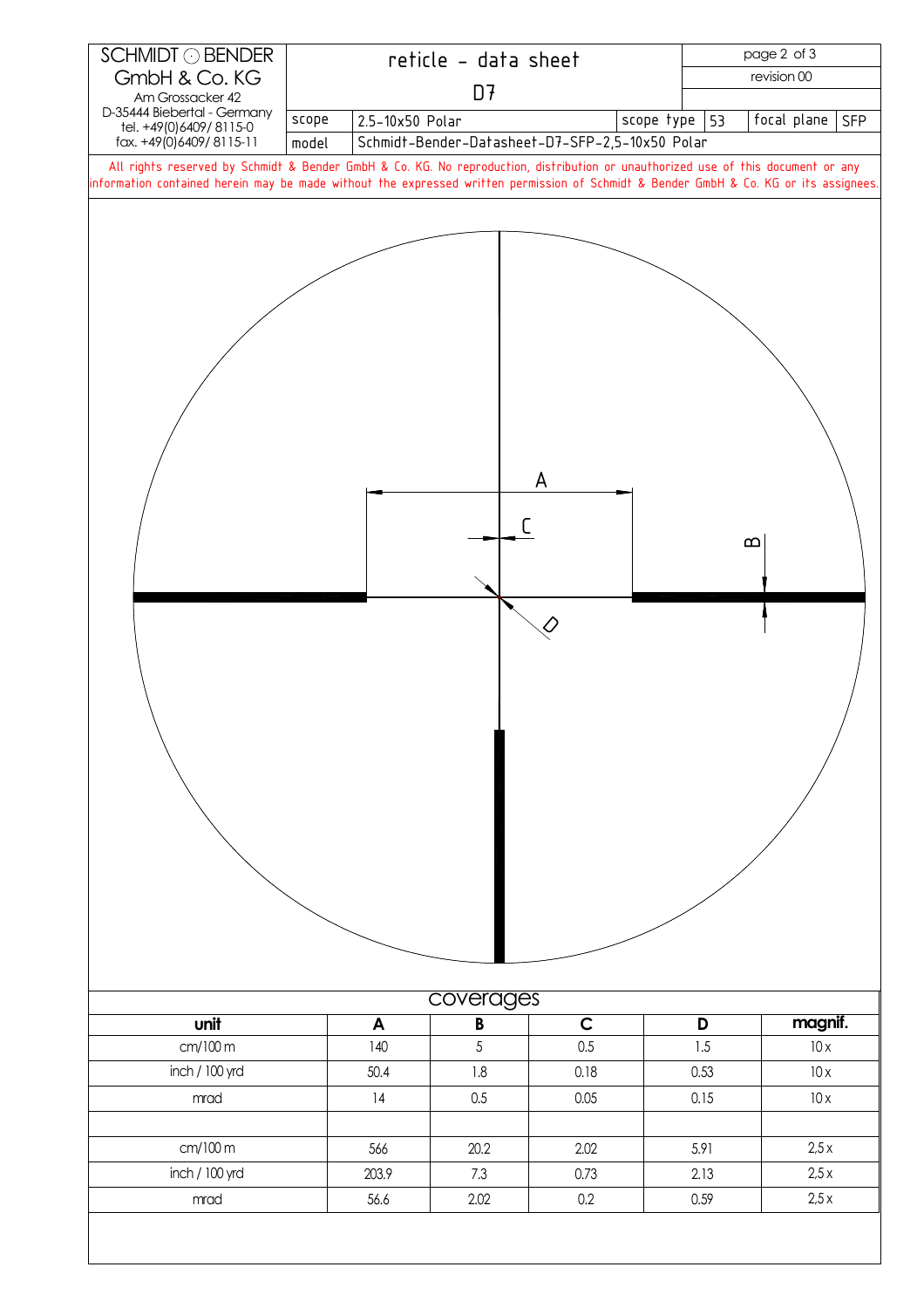